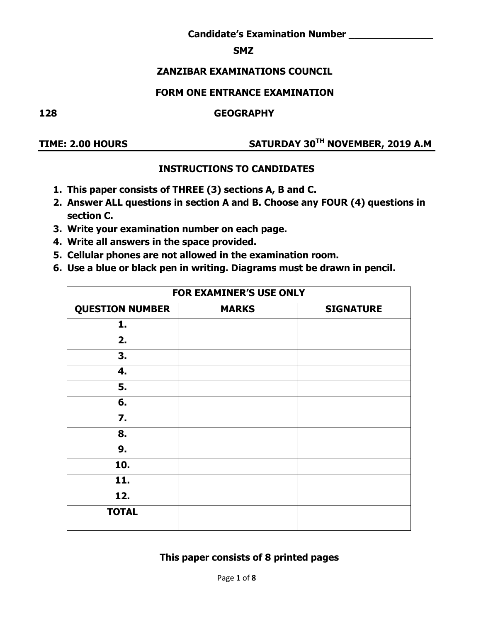#### **SMZ**

#### **ZANZIBAR EXAMINATIONS COUNCIL**

#### **FORM ONE ENTRANCE EXAMINATION**

#### **128 GEOGRAPHY**

#### **TIME: 2.00 HOURS SATURDAY 30TH NOVEMBER, 2019 A.M**

### **INSTRUCTIONS TO CANDIDATES**

- **1. This paper consists of THREE (3) sections A, B and C.**
- **2. Answer ALL questions in section A and B. Choose any FOUR (4) questions in section C.**
- **3. Write your examination number on each page.**
- **4. Write all answers in the space provided.**
- **5. Cellular phones are not allowed in the examination room.**
- **6. Use a blue or black pen in writing. Diagrams must be drawn in pencil.**

| FOR EXAMINER'S USE ONLY |              |                  |  |
|-------------------------|--------------|------------------|--|
| <b>QUESTION NUMBER</b>  | <b>MARKS</b> | <b>SIGNATURE</b> |  |
| 1.                      |              |                  |  |
| 2.                      |              |                  |  |
| 3.                      |              |                  |  |
| 4.                      |              |                  |  |
| 5.                      |              |                  |  |
| 6.                      |              |                  |  |
| 7.                      |              |                  |  |
| 8.                      |              |                  |  |
| 9.                      |              |                  |  |
| 10.                     |              |                  |  |
| 11.                     |              |                  |  |
| 12.                     |              |                  |  |
| <b>TOTAL</b>            |              |                  |  |

#### **This paper consists of 8 printed pages**

Page **1** of **8**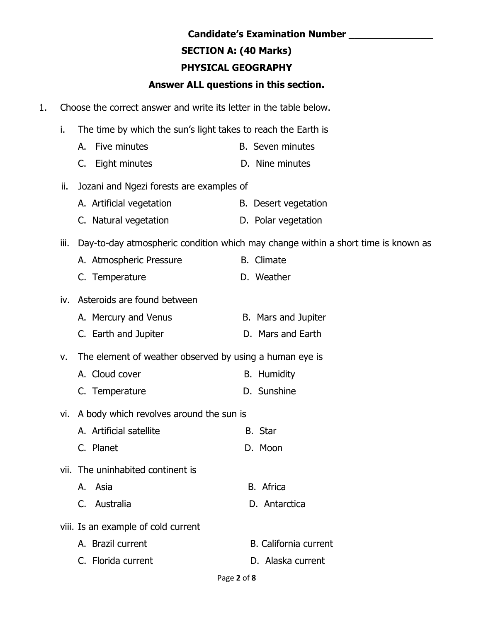# **SECTION A: (40 Marks)**

# **PHYSICAL GEOGRAPHY**

# **Answer ALL questions in this section.**

- 1. Choose the correct answer and write its letter in the table below.
	- i. The time by which the sun's light takes to reach the Earth is
		- A. Five minutes **B.** Seven minutes
		- C. Eight minutes D. Nine minutes
	- ii. Jozani and Ngezi forests are examples of
		- A. Artificial vegetation B. Desert vegetation
		- C. Natural vegetation D. Polar vegetation
	- iii. Day-to-day atmospheric condition which may change within a short time is known as
		- A. Atmospheric Pressure B. Climate
		- C. Temperature D. Weather

### iv. Asteroids are found between

- A. Mercury and Venus B. Mars and Jupiter
- C. Earth and Jupiter **D. Mars and Earth**
- v. The element of weather observed by using a human eye is
	- A. Cloud cover B. Humidity
	- C. Temperature D. Sunshine
- vi. A body which revolves around the sun is
	- A. Artificial satellite B. Star C. Planet D. Moon
- vii. The uninhabited continent is
	- A. Asia B. Africa
	- C. Australia D. Antarctica
- viii. Is an example of cold current
	- A. Brazil current B. California current
	- C. Florida current C. Blood D. Alaska current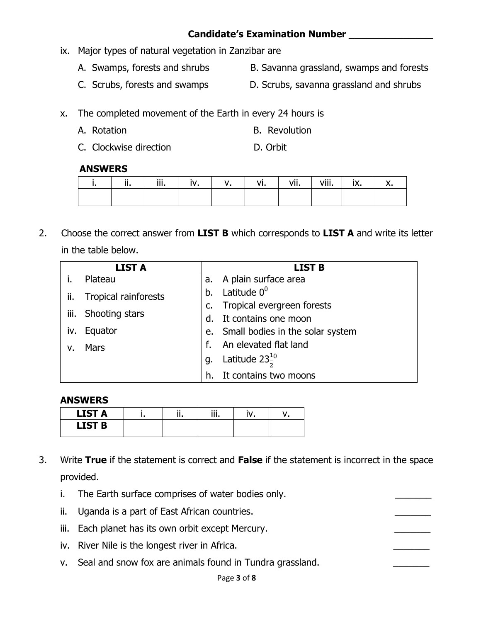- ix. Major types of natural vegetation in Zanzibar are
	- A. Swamps, forests and shrubs B. Savanna grassland, swamps and forests
	- C. Scrubs, forests and swamps D. Scrubs, savanna grassland and shrubs

x. The completed movement of the Earth in every 24 hours is

- A. Rotation **B. Revolution**
- C. Clockwise direction D. Orbit

#### **ANSWERS**

| <br> | <br> | <br>. | <br>$^{\prime}$<br>VII | .<br>viii. | Iv. |  |
|------|------|-------|------------------------|------------|-----|--|
|      |      |       |                        |            |     |  |

2. Choose the correct answer from **LIST B** which corresponds to **LIST A** and write its letter in the table below.

|             | <b>LIST A</b>        |             | <b>LIST B</b>                       |
|-------------|----------------------|-------------|-------------------------------------|
|             | Plateau              | а.          | A plain surface area                |
| ii.         | Tropical rainforests | b.          | Latitude 0 <sup>0</sup>             |
|             |                      | C.          | Tropical evergreen forests          |
| iii.        | Shooting stars       | $d_{\cdot}$ | It contains one moon                |
| iv.         | Equator              |             | e. Small bodies in the solar system |
| $V_{\cdot}$ | Mars                 |             | An elevated flat land               |
|             |                      | g.          | Latitude $23\frac{10}{3}$           |
|             |                      | h.          | It contains two moons               |

#### **ANSWERS**

| <b>LIST A</b> | <br> | <br>. |  |
|---------------|------|-------|--|
| <b>LIST B</b> |      |       |  |

- 3. Write **True** if the statement is correct and **False** if the statement is incorrect in the space provided.
	- i. The Earth surface comprises of water bodies only.
	- ii. Uganda is a part of East African countries.
	- iii. Each planet has its own orbit except Mercury.
	- iv. River Nile is the longest river in Africa.
	- v. Seal and snow fox are animals found in Tundra grassland.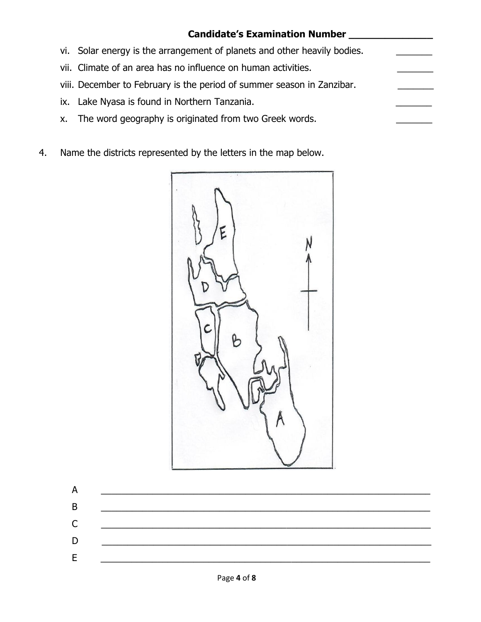|    | <b>Candidate's Examination Number</b>                                    |  |
|----|--------------------------------------------------------------------------|--|
|    | vi. Solar energy is the arrangement of planets and other heavily bodies. |  |
|    | vii. Climate of an area has no influence on human activities.            |  |
|    | viii. December to February is the period of summer season in Zanzibar.   |  |
|    | ix. Lake Nyasa is found in Northern Tanzania.                            |  |
| X. | The word geography is originated from two Greek words.                   |  |

4. Name the districts represented by the letters in the map below.

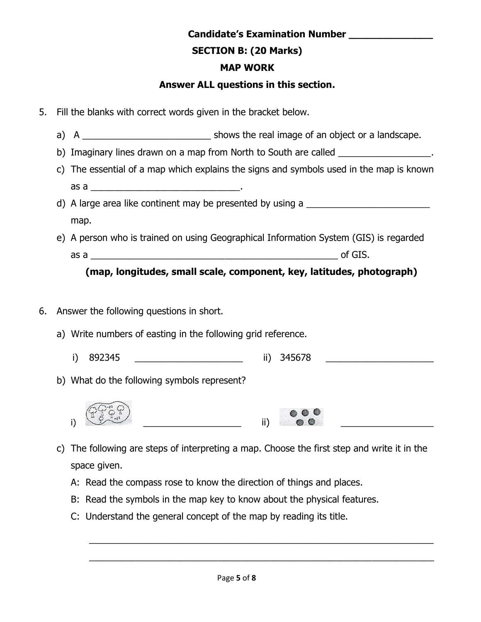# **SECTION B: (20 Marks)**

# **MAP WORK**

# **Answer ALL questions in this section.**

- 5. Fill the blanks with correct words given in the bracket below.
	- a) A consider the shows the real image of an object or a landscape.
	- b) Imaginary lines drawn on a map from North to South are called
	- c) The essential of a map which explains the signs and symbols used in the map is known as a  $\overline{a}$
	- d) A large area like continent may be presented by using a map.
	- e) A person who is trained on using Geographical Information System (GIS) is regarded as a contract and the set of GIS.

# **(map, longitudes, small scale, component, key, latitudes, photograph)**

- 6. Answer the following questions in short.
	- a) Write numbers of easting in the following grid reference.
		- i) 892345 ii) 345678
	- b) What do the following symbols represent?





- c) The following are steps of interpreting a map. Choose the first step and write it in the space given.
	- A: Read the compass rose to know the direction of things and places.
	- B: Read the symbols in the map key to know about the physical features.
	- C: Understand the general concept of the map by reading its title.

\_\_\_\_\_\_\_\_\_\_\_\_\_\_\_\_\_\_\_\_\_\_\_\_\_\_\_\_\_\_\_\_\_\_\_\_\_\_\_\_\_\_\_\_\_\_\_\_\_\_\_\_\_\_\_\_\_\_\_\_\_\_\_\_\_\_\_

\_\_\_\_\_\_\_\_\_\_\_\_\_\_\_\_\_\_\_\_\_\_\_\_\_\_\_\_\_\_\_\_\_\_\_\_\_\_\_\_\_\_\_\_\_\_\_\_\_\_\_\_\_\_\_\_\_\_\_\_\_\_\_\_\_\_\_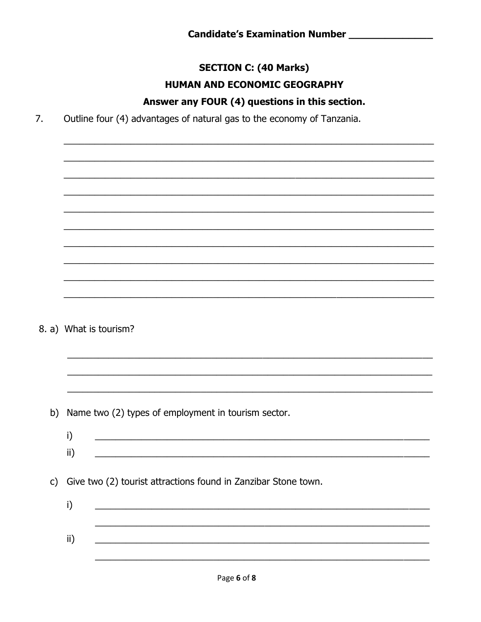# **SECTION C: (40 Marks)** HUMAN AND ECONOMIC GEOGRAPHY

# Answer any FOUR (4) questions in this section.

7. Outline four (4) advantages of natural gas to the economy of Tanzania.

8. a) What is tourism?

b) Name two (2) types of employment in tourism sector.

i)  $\mathsf{ii}$ 

c) Give two (2) tourist attractions found in Zanzibar Stone town.

 $i)$  $\mathsf{ii}$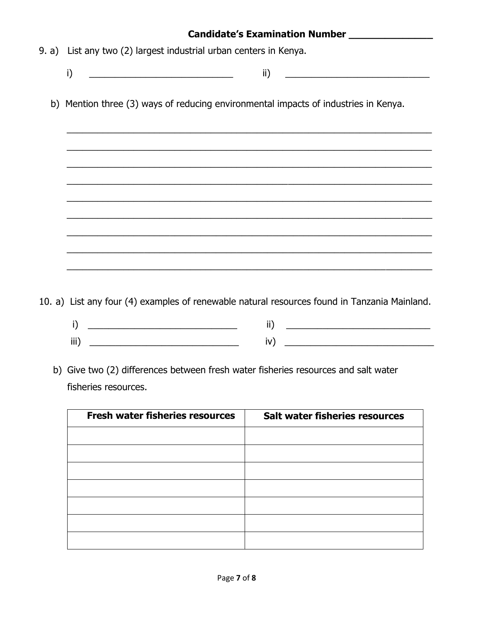|  | 9. a) List any two (2) largest industrial urban centers in Kenya.                                                                                                                                                                                           |  |  |  |
|--|-------------------------------------------------------------------------------------------------------------------------------------------------------------------------------------------------------------------------------------------------------------|--|--|--|
|  | i)<br>$\mathsf{ii}$<br><u> 2002 - Johann Johann Johann Johann Johann Johann Johann Johann Johann Johann Johann Johann Johann Johann Johann Johann Johann Johann Johann Johann Johann Johann Johann Johann Johann Johann Johann Johann Johann Johann Joh</u> |  |  |  |
|  | b) Mention three (3) ways of reducing environmental impacts of industries in Kenya.                                                                                                                                                                         |  |  |  |
|  | ,我们也不能在这里的时候,我们也不能在这里的时候,我们也不能会不能会不能会不能会不能会不能会不能会不能会。""我们的人,我们也不能会不能会不能会不能会不能会不能                                                                                                                                                                            |  |  |  |
|  |                                                                                                                                                                                                                                                             |  |  |  |
|  |                                                                                                                                                                                                                                                             |  |  |  |
|  |                                                                                                                                                                                                                                                             |  |  |  |
|  |                                                                                                                                                                                                                                                             |  |  |  |
|  |                                                                                                                                                                                                                                                             |  |  |  |

10. a) List any four (4) examples of renewable natural resources found in Tanzania Mainland.

- i) \_\_\_\_\_\_\_\_\_\_\_\_\_\_\_\_\_\_\_\_\_\_\_\_\_\_\_\_\_ ii) \_\_\_\_\_\_\_\_\_\_\_\_\_\_\_\_\_\_\_\_\_\_\_\_\_\_\_\_ iii) \_\_\_\_\_\_\_\_\_\_\_\_\_\_\_\_\_\_\_\_\_\_\_\_\_\_\_\_\_ iv) \_\_\_\_\_\_\_\_\_\_\_\_\_\_\_\_\_\_\_\_\_\_\_\_\_\_\_\_\_
	-
- b) Give two (2) differences between fresh water fisheries resources and salt water fisheries resources.

| <b>Fresh water fisheries resources</b> | <b>Salt water fisheries resources</b> |
|----------------------------------------|---------------------------------------|
|                                        |                                       |
|                                        |                                       |
|                                        |                                       |
|                                        |                                       |
|                                        |                                       |
|                                        |                                       |
|                                        |                                       |